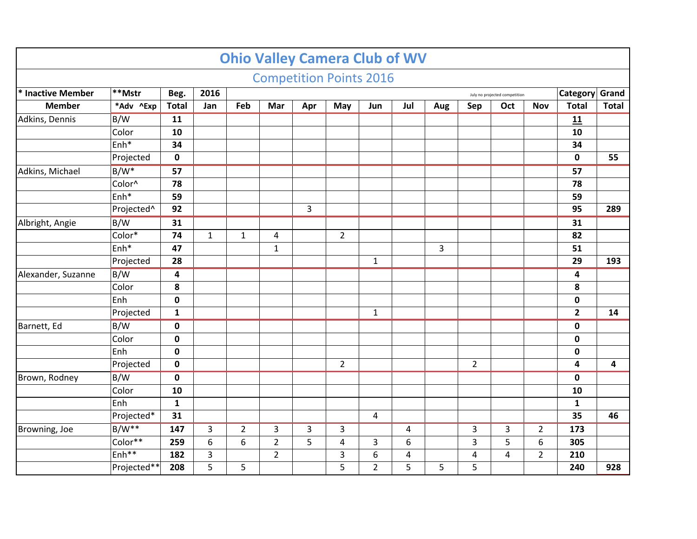|                    |                   |                         |              |                |                |     | <b>Ohio Valley Camera Club of WV</b> |                |                |     |                |                               |                |                 |              |
|--------------------|-------------------|-------------------------|--------------|----------------|----------------|-----|--------------------------------------|----------------|----------------|-----|----------------|-------------------------------|----------------|-----------------|--------------|
|                    |                   |                         |              |                |                |     | <b>Competition Points 2016</b>       |                |                |     |                |                               |                |                 |              |
| * Inactive Member  | $ **$ Mstr        | Beg.                    | 2016         |                |                |     |                                      |                |                |     |                | July no projected competition |                | Category Grand  |              |
| <b>Member</b>      | *Adv ^Exp         | <b>Total</b>            | Jan          | Feb            | Mar            | Apr | May                                  | Jun            | Jul            | Aug | Sep            | Oct                           | <b>Nov</b>     | <b>Total</b>    | <b>Total</b> |
| Adkins, Dennis     | B/W               | 11                      |              |                |                |     |                                      |                |                |     |                |                               |                | 11              |              |
|                    | Color             | 10                      |              |                |                |     |                                      |                |                |     |                |                               |                | 10              |              |
|                    | Enh <sup>*</sup>  | 34                      |              |                |                |     |                                      |                |                |     |                |                               |                | 34              |              |
|                    | Projected         | $\mathbf 0$             |              |                |                |     |                                      |                |                |     |                |                               |                | $\mathbf 0$     | 55           |
| Adkins, Michael    | $B/W^*$           | $\overline{57}$         |              |                |                |     |                                      |                |                |     |                |                               |                | $\overline{57}$ |              |
|                    | Color^            | 78                      |              |                |                |     |                                      |                |                |     |                |                               |                | 78              |              |
|                    | Enh*              | 59                      |              |                |                |     |                                      |                |                |     |                |                               |                | 59              |              |
|                    | Projected^        | 92                      |              |                |                | 3   |                                      |                |                |     |                |                               |                | 95              | 289          |
| Albright, Angie    | B/W               | 31                      |              |                |                |     |                                      |                |                |     |                |                               |                | 31              |              |
|                    | Color*            | 74                      | $\mathbf{1}$ | $\mathbf{1}$   | 4              |     | $\overline{2}$                       |                |                |     |                |                               |                | 82              |              |
|                    | Enh <sup>*</sup>  | 47                      |              |                | $\mathbf{1}$   |     |                                      |                |                | 3   |                |                               |                | 51              |              |
|                    | Projected         | 28                      |              |                |                |     |                                      | $\mathbf{1}$   |                |     |                |                               |                | 29              | 193          |
| Alexander, Suzanne | B/W               | $\overline{\mathbf{4}}$ |              |                |                |     |                                      |                |                |     |                |                               |                | 4               |              |
|                    | Color             | 8                       |              |                |                |     |                                      |                |                |     |                |                               |                | 8               |              |
|                    | Enh               | $\mathbf 0$             |              |                |                |     |                                      |                |                |     |                |                               |                | $\pmb{0}$       |              |
|                    | Projected         | $\mathbf{1}$            |              |                |                |     |                                      | $\mathbf{1}$   |                |     |                |                               |                | $\overline{2}$  | 14           |
| Barnett, Ed        | B/W               | $\mathbf 0$             |              |                |                |     |                                      |                |                |     |                |                               |                | $\pmb{0}$       |              |
|                    | Color             | $\mathbf 0$             |              |                |                |     |                                      |                |                |     |                |                               |                | $\pmb{0}$       |              |
|                    | Enh               | $\mathbf 0$             |              |                |                |     |                                      |                |                |     |                |                               |                | $\pmb{0}$       |              |
|                    | Projected         | $\mathbf 0$             |              |                |                |     | $\overline{2}$                       |                |                |     | $\overline{2}$ |                               |                | 4               | 4            |
| Brown, Rodney      | B/W               | $\mathbf 0$             |              |                |                |     |                                      |                |                |     |                |                               |                | $\pmb{0}$       |              |
|                    | Color             | 10                      |              |                |                |     |                                      |                |                |     |                |                               |                | 10              |              |
|                    | Enh               | $\mathbf{1}$            |              |                |                |     |                                      |                |                |     |                |                               |                | $\mathbf{1}$    |              |
|                    | Projected*        | 31                      |              |                |                |     |                                      | 4              |                |     |                |                               |                | 35              | 46           |
| Browning, Joe      | $B/W**$           | 147                     | 3            | $\overline{2}$ | 3              | 3   | 3                                    |                | $\overline{a}$ |     | 3              | 3                             | $\overline{2}$ | 173             |              |
|                    | Color**           | 259                     | 6            | 6              | $\overline{2}$ | 5   | $\overline{4}$                       | 3              | 6              |     | 3              | 5                             | 6              | 305             |              |
|                    | Enh <sup>**</sup> | 182                     | 3            |                | $\overline{2}$ |     | 3                                    | 6              | $\pmb{4}$      |     | 4              | 4                             | $\overline{2}$ | 210             |              |
|                    | Projected**       | 208                     | 5            | 5              |                |     | 5                                    | $\overline{2}$ | 5              | 5   | 5              |                               |                | 240             | 928          |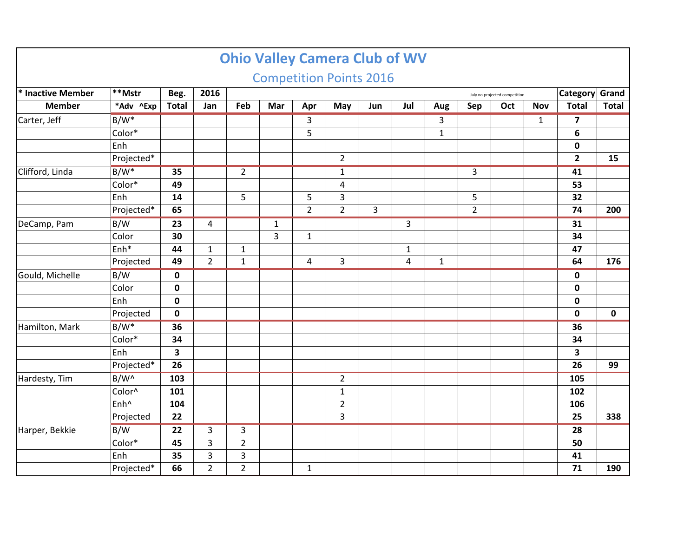|                   |                        |              |                |                |              |                | <b>Competition Points 2016</b> |                |                |              |                |                               |              |                         |              |
|-------------------|------------------------|--------------|----------------|----------------|--------------|----------------|--------------------------------|----------------|----------------|--------------|----------------|-------------------------------|--------------|-------------------------|--------------|
| * Inactive Member | **Mstr                 | Beg.         | 2016           |                |              |                |                                |                |                |              |                | July no projected competition |              | Category Grand          |              |
| <b>Member</b>     | *Adv ^Exp              | <b>Total</b> | Jan            | Feb            | Mar          | Apr            | May                            | Jun            | Jul            | Aug          | Sep            | Oct                           | <b>Nov</b>   | <b>Total</b>            | <b>Total</b> |
| Carter, Jeff      | $B/W^*$                |              |                |                |              | 3              |                                |                |                | 3            |                |                               | $\mathbf{1}$ | $\overline{\mathbf{z}}$ |              |
|                   | Color*                 |              |                |                |              | 5              |                                |                |                | $\mathbf{1}$ |                |                               |              | 6                       |              |
| Clifford, Linda   | Enh                    |              |                |                |              |                |                                |                |                |              |                |                               |              | $\mathbf 0$             |              |
|                   | Projected <sup>*</sup> |              |                |                |              |                | $\overline{2}$                 |                |                |              |                |                               |              | $\overline{2}$          | 15           |
|                   | B/W <sup>*</sup>       | 35           |                | $\overline{2}$ |              |                | $\mathbf{1}$                   |                |                |              | 3              |                               |              | 41                      |              |
|                   | Color*                 | 49           |                |                |              |                | 4                              |                |                |              |                |                               |              | 53                      |              |
|                   | Enh                    | 14           |                | 5              |              | 5              | 3                              |                |                |              | 5              |                               |              | 32                      |              |
|                   | Projected*             | 65           |                |                |              | $\overline{2}$ | $\overline{2}$                 | $\overline{3}$ |                |              | $\overline{2}$ |                               |              | 74                      | 200          |
| DeCamp, Pam       | B/W                    | 23           | $\overline{a}$ |                | $\mathbf{1}$ |                |                                |                | 3              |              |                |                               |              | 31                      |              |
|                   | Color                  | 30           |                |                | 3            | $\mathbf{1}$   |                                |                |                |              |                |                               |              | 34                      |              |
|                   | Enh*                   | 44           | $\mathbf{1}$   | $\mathbf{1}$   |              |                |                                |                | $\mathbf{1}$   |              |                |                               |              | 47                      |              |
|                   | Projected              | 49           | $\overline{2}$ | $\mathbf 1$    |              | $\overline{4}$ | 3                              |                | $\overline{4}$ | $\mathbf 1$  |                |                               |              | 64                      | 176          |
| Gould, Michelle   | B/W                    | $\mathbf 0$  |                |                |              |                |                                |                |                |              |                |                               |              | $\mathbf 0$             |              |
|                   | Color                  | $\mathbf 0$  |                |                |              |                |                                |                |                |              |                |                               |              | $\mathbf 0$             |              |
|                   | Enh                    | $\mathbf 0$  |                |                |              |                |                                |                |                |              |                |                               |              | 0                       |              |
|                   | Projected              | $\mathbf 0$  |                |                |              |                |                                |                |                |              |                |                               |              | $\mathbf 0$             | $\mathbf 0$  |
| Hamilton, Mark    | $B/W^*$                | 36           |                |                |              |                |                                |                |                |              |                |                               |              | 36                      |              |
|                   | Color*                 | 34           |                |                |              |                |                                |                |                |              |                |                               |              | 34                      |              |
|                   | Enh                    | 3            |                |                |              |                |                                |                |                |              |                |                               |              | 3                       |              |
|                   | Projected*             | 26           |                |                |              |                |                                |                |                |              |                |                               |              | 26                      | 99           |
| Hardesty, Tim     | B/W <sup>^</sup>       | 103          |                |                |              |                | $\overline{2}$                 |                |                |              |                |                               |              | 105                     |              |
|                   | Color^                 | 101          |                |                |              |                | $\mathbf{1}$                   |                |                |              |                |                               |              | 102                     |              |
|                   | Enh <sup>^</sup>       | 104          |                |                |              |                | $\overline{2}$                 |                |                |              |                |                               |              | 106                     |              |
|                   | Projected              | 22           |                |                |              |                | 3                              |                |                |              |                |                               |              | 25                      | 338          |
| Harper, Bekkie    | B/W                    | 22           | 3              | 3              |              |                |                                |                |                |              |                |                               |              | 28                      |              |
|                   | Color*                 | 45           | 3              | $\overline{2}$ |              |                |                                |                |                |              |                |                               |              | 50                      |              |
|                   | Enh                    | 35           | 3              | $\overline{3}$ |              |                |                                |                |                |              |                |                               |              | 41                      |              |
|                   | Projected*             | 66           | $\overline{2}$ | $\overline{2}$ |              | $\mathbf{1}$   |                                |                |                |              |                |                               |              | 71                      | 190          |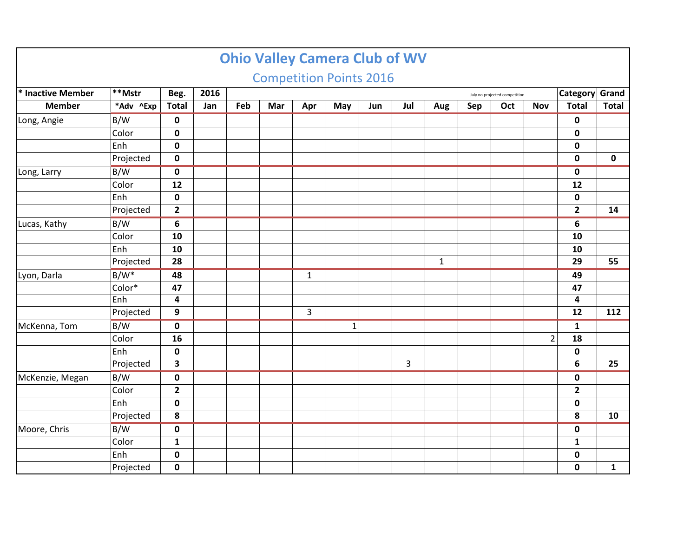|                   |                  |                         |      |     |     |                | <b>Ohio Valley Camera Club of WV</b> |     |     |              |     |                               |                |                         |              |
|-------------------|------------------|-------------------------|------|-----|-----|----------------|--------------------------------------|-----|-----|--------------|-----|-------------------------------|----------------|-------------------------|--------------|
|                   |                  |                         |      |     |     |                | <b>Competition Points 2016</b>       |     |     |              |     |                               |                |                         |              |
| * Inactive Member | $**$ Mstr        | Beg.                    | 2016 |     |     |                |                                      |     |     |              |     | July no projected competition |                | Category Grand          |              |
| <b>Member</b>     | *Adv ^Exp        | <b>Total</b>            | Jan  | Feb | Mar | Apr            | May                                  | Jun | Jul | Aug          | Sep | Oct                           | <b>Nov</b>     | <b>Total</b>            | <b>Total</b> |
| Long, Angie       | B/W              | $\mathbf 0$             |      |     |     |                |                                      |     |     |              |     |                               |                | $\pmb{0}$               |              |
|                   | Color            | $\mathbf 0$             |      |     |     |                |                                      |     |     |              |     |                               |                | $\mathbf 0$             |              |
|                   | Enh              | $\mathbf 0$             |      |     |     |                |                                      |     |     |              |     |                               |                | $\mathbf 0$             |              |
|                   | Projected        | $\mathbf 0$             |      |     |     |                |                                      |     |     |              |     |                               |                | $\mathbf 0$             | $\mathbf 0$  |
| Long, Larry       | B/W              | $\pmb{0}$               |      |     |     |                |                                      |     |     |              |     |                               |                | $\mathbf 0$             |              |
|                   | Color            | 12                      |      |     |     |                |                                      |     |     |              |     |                               |                | 12                      |              |
|                   | Enh              | $\mathbf 0$             |      |     |     |                |                                      |     |     |              |     |                               |                | $\mathbf 0$             |              |
|                   | Projected        | $\mathbf{2}$            |      |     |     |                |                                      |     |     |              |     |                               |                | $\overline{\mathbf{2}}$ | 14           |
| Lucas, Kathy      | B/W              | 6                       |      |     |     |                |                                      |     |     |              |     |                               |                | 6                       |              |
|                   | Color            | 10                      |      |     |     |                |                                      |     |     |              |     |                               |                | 10                      |              |
|                   | Enh              | 10                      |      |     |     |                |                                      |     |     |              |     |                               |                | 10                      |              |
|                   | Projected        | 28                      |      |     |     |                |                                      |     |     | $\mathbf{1}$ |     |                               |                | 29                      | 55           |
| Lyon, Darla       | B/W <sup>*</sup> | 48                      |      |     |     | $\mathbf{1}$   |                                      |     |     |              |     |                               |                | 49                      |              |
|                   | Color*           | 47                      |      |     |     |                |                                      |     |     |              |     |                               |                | 47                      |              |
|                   | Enh              | $\overline{\mathbf{4}}$ |      |     |     |                |                                      |     |     |              |     |                               |                | $\overline{\mathbf{4}}$ |              |
|                   | Projected        | 9                       |      |     |     | $\overline{3}$ |                                      |     |     |              |     |                               |                | 12                      | 112          |
| McKenna, Tom      | B/W              | $\mathbf 0$             |      |     |     |                | $\mathbf{1}$                         |     |     |              |     |                               |                | $\mathbf 1$             |              |
|                   | Color            | 16                      |      |     |     |                |                                      |     |     |              |     |                               | $\overline{2}$ | 18                      |              |
|                   | Enh              | $\mathbf 0$             |      |     |     |                |                                      |     |     |              |     |                               |                | $\pmb{0}$               |              |
|                   | Projected        | 3                       |      |     |     |                |                                      |     | 3   |              |     |                               |                | 6                       | 25           |
| McKenzie, Megan   | B/W              | $\mathbf 0$             |      |     |     |                |                                      |     |     |              |     |                               |                | $\pmb{0}$               |              |
|                   | Color            | $\overline{2}$          |      |     |     |                |                                      |     |     |              |     |                               |                | $\mathbf{2}$            |              |
|                   | Enh              | $\mathbf 0$             |      |     |     |                |                                      |     |     |              |     |                               |                | $\mathbf 0$             |              |
|                   | Projected        | ${\bf 8}$               |      |     |     |                |                                      |     |     |              |     |                               |                | 8                       | 10           |
| Moore, Chris      | B/W              | $\mathbf 0$             |      |     |     |                |                                      |     |     |              |     |                               |                | $\mathbf 0$             |              |
|                   | Color            | $\mathbf{1}$            |      |     |     |                |                                      |     |     |              |     |                               |                | $\mathbf 1$             |              |
|                   | Enh              | $\mathbf 0$             |      |     |     |                |                                      |     |     |              |     |                               |                | $\pmb{0}$               |              |
|                   | Projected        | $\mathbf 0$             |      |     |     |                |                                      |     |     |              |     |                               |                | $\mathbf 0$             | $\mathbf{1}$ |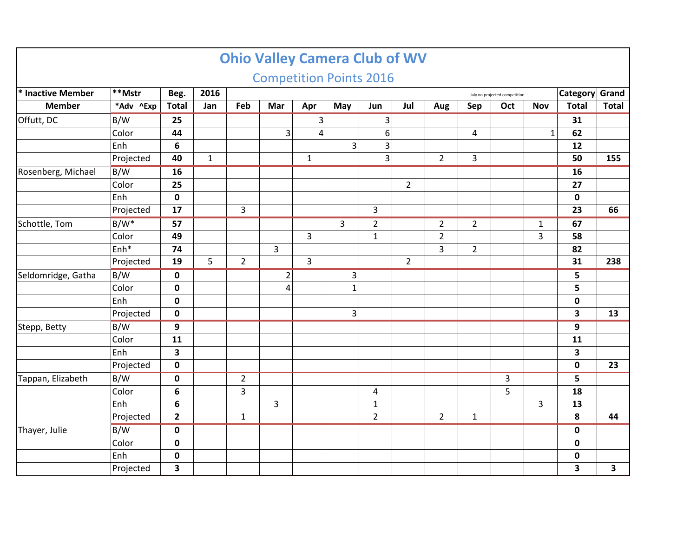|                    |                  |                |              |                |                                | <b>Ohio Valley Camera Club of WV</b> |                |                |                |                |                |                               |              |                |              |
|--------------------|------------------|----------------|--------------|----------------|--------------------------------|--------------------------------------|----------------|----------------|----------------|----------------|----------------|-------------------------------|--------------|----------------|--------------|
|                    |                  |                |              |                | <b>Competition Points 2016</b> |                                      |                |                |                |                |                |                               |              |                |              |
| * Inactive Member  | $\bar{*}*$ Mstr  | Beg.           | 2016         |                |                                |                                      |                |                |                |                |                | July no projected competition |              | Category Grand |              |
| <b>Member</b>      | *Adv ^Exp        | <b>Total</b>   | Jan          | Feb            | Mar                            | Apr                                  | May            | Jun            | Jul            | Aug            | Sep            | Oct                           | <b>Nov</b>   | <b>Total</b>   | <b>Total</b> |
| Offutt, DC         | B/W              | 25             |              |                |                                | 3                                    |                | 3              |                |                |                |                               |              | 31             |              |
|                    | Color            | 44             |              |                | 3                              | 4                                    |                | 6              |                |                | 4              |                               | $\mathbf{1}$ | 62             |              |
|                    | Enh              | $\bf 6$        |              |                |                                |                                      | 3              | 3              |                |                |                |                               |              | 12             |              |
|                    | Projected        | 40             | $\mathbf{1}$ |                |                                | $\mathbf{1}$                         |                | $\overline{3}$ |                | $\overline{2}$ | 3              |                               |              | 50             | 155          |
| Rosenberg, Michael | B/W              | 16             |              |                |                                |                                      |                |                |                |                |                |                               |              | 16             |              |
|                    | Color            | 25             |              |                |                                |                                      |                |                | $\overline{2}$ |                |                |                               |              | 27             |              |
|                    | Enh              | $\mathbf 0$    |              |                |                                |                                      |                |                |                |                |                |                               |              | $\mathbf 0$    |              |
|                    | Projected        | 17             |              | 3              |                                |                                      |                | 3              |                |                |                |                               |              | 23             | 66           |
| Schottle, Tom      | $B/W^*$          | 57             |              |                |                                |                                      | $\overline{3}$ | $\overline{2}$ |                | $\overline{2}$ | $\overline{2}$ |                               | $\mathbf{1}$ | 67             |              |
|                    | Color            | 49             |              |                |                                | 3                                    |                | $\mathbf{1}$   |                | $\overline{2}$ |                |                               | 3            | 58             |              |
|                    | Enh <sup>*</sup> | 74             |              |                | $\overline{3}$                 |                                      |                |                |                | 3              | $\overline{2}$ |                               |              | 82             |              |
|                    | Projected        | 19             | 5            | $\overline{2}$ |                                | $\overline{3}$                       |                |                | $\overline{2}$ |                |                |                               |              | 31             | 238          |
| Seldomridge, Gatha | B/W              | $\pmb{0}$      |              |                | $\overline{2}$                 |                                      | 3              |                |                |                |                |                               |              | 5              |              |
|                    | Color            | $\pmb{0}$      |              |                | 4                              |                                      | $\mathbf{1}$   |                |                |                |                |                               |              | 5              |              |
|                    | Enh              | $\pmb{0}$      |              |                |                                |                                      |                |                |                |                |                |                               |              | $\mathbf 0$    |              |
|                    | Projected        | $\mathbf 0$    |              |                |                                |                                      | 3              |                |                |                |                |                               |              | 3              | 13           |
| Stepp, Betty       | B/W              | 9              |              |                |                                |                                      |                |                |                |                |                |                               |              | 9              |              |
|                    | Color            | 11             |              |                |                                |                                      |                |                |                |                |                |                               |              | 11             |              |
|                    | Enh              | 3              |              |                |                                |                                      |                |                |                |                |                |                               |              | 3              |              |
|                    | Projected        | $\pmb{0}$      |              |                |                                |                                      |                |                |                |                |                |                               |              | $\mathbf 0$    | 23           |
| Tappan, Elizabeth  | $\sqrt{B/W}$     | $\pmb{0}$      |              | $\overline{2}$ |                                |                                      |                |                |                |                |                | 3                             |              | 5              |              |
|                    | Color            | 6              |              | 3              |                                |                                      |                | $\overline{4}$ |                |                |                | 5                             |              | 18             |              |
|                    | Enh              | $\bf 6$        |              |                | 3                              |                                      |                | $\mathbf{1}$   |                |                |                |                               | 3            | 13             |              |
|                    | Projected        | $\overline{2}$ |              | $\mathbf{1}$   |                                |                                      |                | $\overline{2}$ |                | $\overline{2}$ | $\mathbf{1}$   |                               |              | 8              | 44           |
| Thayer, Julie      | B/W              | $\mathbf 0$    |              |                |                                |                                      |                |                |                |                |                |                               |              | $\mathbf 0$    |              |
|                    | Color            | $\pmb{0}$      |              |                |                                |                                      |                |                |                |                |                |                               |              | $\mathbf 0$    |              |
|                    | Enh              | $\mathbf 0$    |              |                |                                |                                      |                |                |                |                |                |                               |              | $\mathbf 0$    |              |
|                    | Projected        | 3              |              |                |                                |                                      |                |                |                |                |                |                               |              | 3              | 3            |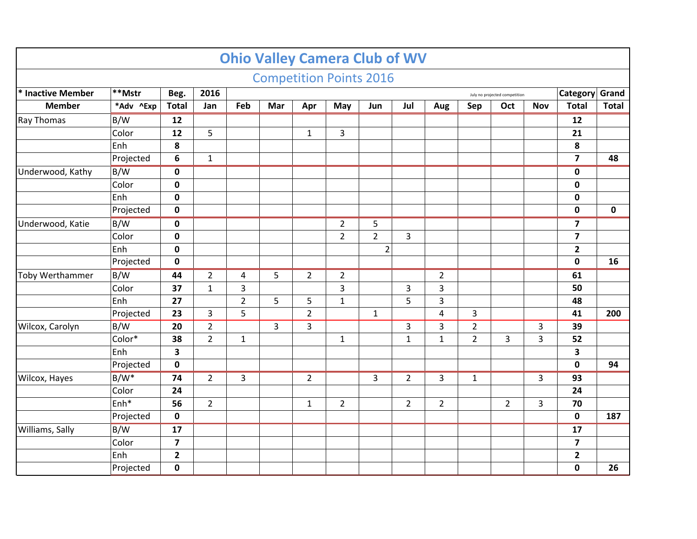|                        |                  |                         |                |                | <b>Ohio Valley Camera Club of WV</b> |                |                |                |                |                |                |                               |                |                         |              |
|------------------------|------------------|-------------------------|----------------|----------------|--------------------------------------|----------------|----------------|----------------|----------------|----------------|----------------|-------------------------------|----------------|-------------------------|--------------|
|                        |                  |                         |                |                | <b>Competition Points 2016</b>       |                |                |                |                |                |                |                               |                |                         |              |
| * Inactive Member      | **Mstr           | Beg.                    | 2016           |                |                                      |                |                |                |                |                |                | July no projected competition |                | Category Grand          |              |
| <b>Member</b>          | *Adv ^Exp        | <b>Total</b>            | Jan            | Feb            | Mar                                  | Apr            | May            | Jun            | Jul            | Aug            | Sep            | Oct                           | <b>Nov</b>     | <b>Total</b>            | <b>Total</b> |
| Ray Thomas             | B/W              | $\overline{12}$         |                |                |                                      |                |                |                |                |                |                |                               |                | 12                      |              |
|                        | Color            | 12                      | 5              |                |                                      | $\mathbf{1}$   | 3              |                |                |                |                |                               |                | 21                      |              |
|                        | Enh              | 8                       |                |                |                                      |                |                |                |                |                |                |                               |                | 8                       |              |
|                        | Projected        | $6\phantom{1}6$         | $\mathbf{1}$   |                |                                      |                |                |                |                |                |                |                               |                | $\overline{\mathbf{z}}$ | 48           |
| Underwood, Kathy       | B/W              | $\mathbf 0$             |                |                |                                      |                |                |                |                |                |                |                               |                | $\mathbf 0$             |              |
|                        | Color            | $\mathbf 0$             |                |                |                                      |                |                |                |                |                |                |                               |                | $\pmb{0}$               |              |
|                        | Enh              | $\mathbf 0$             |                |                |                                      |                |                |                |                |                |                |                               |                | $\pmb{0}$               |              |
|                        | Projected        | $\mathbf 0$             |                |                |                                      |                |                |                |                |                |                |                               |                | $\pmb{0}$               | $\mathbf 0$  |
| Underwood, Katie       | B/W              | $\mathbf 0$             |                |                |                                      |                | $\overline{2}$ | 5              |                |                |                |                               |                | $\overline{\mathbf{z}}$ |              |
|                        | Color            | $\mathbf 0$             |                |                |                                      |                | $\overline{2}$ | $\overline{2}$ | 3              |                |                |                               |                | $\overline{\mathbf{z}}$ |              |
|                        | Enh              | $\mathbf 0$             |                |                |                                      |                |                | $\overline{2}$ |                |                |                |                               |                | $\mathbf{2}$            |              |
|                        | Projected        | $\mathbf 0$             |                |                |                                      |                |                |                |                |                |                |                               |                | $\mathbf 0$             | 16           |
| <b>Toby Werthammer</b> | $\overline{B/W}$ | 44                      | $\overline{2}$ | 4              | 5                                    | $\overline{2}$ | $\overline{2}$ |                |                | $\overline{2}$ |                |                               |                | 61                      |              |
|                        | Color            | 37                      | $\mathbf{1}$   | 3              |                                      |                | 3              |                | 3              | 3              |                |                               |                | 50                      |              |
|                        | Enh              | 27                      |                | $\overline{2}$ | 5                                    | 5              | $\mathbf{1}$   |                | 5              | 3              |                |                               |                | 48                      |              |
|                        | Projected        | 23                      | 3              | 5              |                                      | $\overline{2}$ |                | $\mathbf{1}$   |                | 4              | 3              |                               |                | 41                      | 200          |
| Wilcox, Carolyn        | B/W              | 20                      | $\overline{2}$ |                | 3                                    | 3              |                |                | 3              | 3              | $\overline{2}$ |                               | 3              | 39                      |              |
|                        | Color*           | 38                      | $\overline{2}$ | $\mathbf{1}$   |                                      |                | $\mathbf{1}$   |                | $\mathbf{1}$   | $\mathbf{1}$   | $\overline{2}$ | 3                             | 3              | 52                      |              |
|                        | Enh              | 3                       |                |                |                                      |                |                |                |                |                |                |                               |                | 3                       |              |
|                        | Projected        | $\mathbf 0$             |                |                |                                      |                |                |                |                |                |                |                               |                | $\mathbf 0$             | 94           |
| Wilcox, Hayes          | $B/W^*$          | $\overline{74}$         | $\overline{2}$ | 3              |                                      | $\overline{2}$ |                | 3              | $\overline{2}$ | $\overline{3}$ | $\mathbf{1}$   |                               | $\overline{3}$ | 93                      |              |
|                        | Color            | 24                      |                |                |                                      |                |                |                |                |                |                |                               |                | 24                      |              |
|                        | Enh <sup>*</sup> | 56                      | $\overline{2}$ |                |                                      | $\mathbf{1}$   | $\overline{2}$ |                | $\overline{2}$ | $\overline{2}$ |                | $\overline{2}$                | 3              | 70                      |              |
|                        | Projected        | $\mathbf 0$             |                |                |                                      |                |                |                |                |                |                |                               |                | $\mathbf 0$             | 187          |
| Williams, Sally        | B/W              | 17                      |                |                |                                      |                |                |                |                |                |                |                               |                | 17                      |              |
|                        | Color            | $\overline{\mathbf{z}}$ |                |                |                                      |                |                |                |                |                |                |                               |                | $\overline{\mathbf{z}}$ |              |
|                        | Enh              | $\overline{\mathbf{2}}$ |                |                |                                      |                |                |                |                |                |                |                               |                | $\mathbf{2}$            |              |
|                        | Projected        | $\mathbf 0$             |                |                |                                      |                |                |                |                |                |                |                               |                | $\mathbf 0$             | 26           |